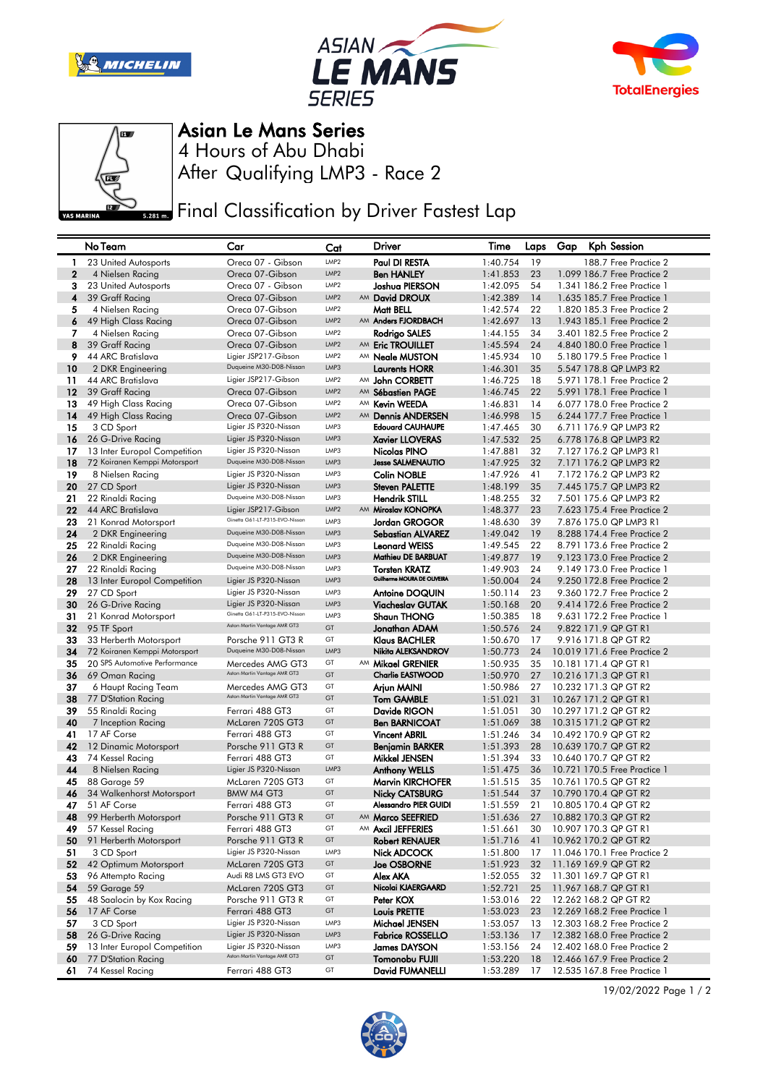







Asian Le Mans Series

After Qualifying LMP3 - Race 2 4 Hours of Abu Dhabi

**Final Classification by Driver Fastest Lap** 

|                  | No Team                       | Car                            | Cat              | Driver                       | Time     | Laps | Gap | Kph Session                  |
|------------------|-------------------------------|--------------------------------|------------------|------------------------------|----------|------|-----|------------------------------|
| -1               | 23 United Autosports          | Oreca 07 - Gibson              | LMP <sub>2</sub> | Paul DI RESTA                | 1:40.754 | 19   |     | 188.7 Free Practice 2        |
| $\boldsymbol{2}$ | 4 Nielsen Racing              | Oreca 07-Gibson                | LMP <sub>2</sub> | <b>Ben HANLEY</b>            | 1:41.853 | 23   |     | 1.099 186.7 Free Practice 2  |
| 3                | 23 United Autosports          | Oreca 07 - Gibson              | LMP2             | Joshua PIERSON               | 1:42.095 | 54   |     | 1.341 186.2 Free Practice 1  |
| 4                | 39 Graff Racing               | Oreca 07-Gibson                | LMP <sub>2</sub> | AM David DROUX               | 1:42.389 | 14   |     | 1.635 185.7 Free Practice 1  |
| 5                | 4 Nielsen Racing              | Oreca 07-Gibson                | LMP2             | Matt BELL                    | 1:42.574 | 22   |     | 1,820 185,3 Free Practice 2  |
| 6                | 49 High Class Racing          | Oreca 07-Gibson                | LMP <sub>2</sub> | AM Anders FJORDBACH          | 1:42.697 | 13   |     | 1.943 185.1 Free Practice 2  |
| 7                | 4 Nielsen Racing              | Oreca 07-Gibson                | LMP <sub>2</sub> | Rodrigo SALES                | 1:44.155 | 34   |     | 3.401 182.5 Free Practice 2  |
| 8                | 39 Graff Racing               | Oreca 07-Gibson                | LMP <sub>2</sub> | AM Eric TROUILLET            | 1:45.594 | 24   |     | 4.840 180.0 Free Practice 1  |
| 9                | 44 ARC Bratislava             | Ligier JSP217-Gibson           | LMP <sub>2</sub> | AM <b>Neale MUSTON</b>       | 1:45.934 | 10   |     | 5.180 179.5 Free Practice 1  |
| 10               | 2 DKR Engineering             | Duqueine M30-D08-Nissan        | LMP3             | Laurents HORR                | 1:46.301 | 35   |     | 5.547 178.8 QP LMP3 R2       |
| 11               | 44 ARC Bratislava             | Ligier JSP217-Gibson           | LMP2             | AM John CORBETT              | 1:46.725 | 18   |     | 5.971 178.1 Free Practice 2  |
| 12               | 39 Graff Racing               | Oreca 07-Gibson                | LMP <sub>2</sub> | AM Sébastien PAGE            | 1:46.745 | 22   |     | 5.991 178.1 Free Practice 1  |
| 13               | 49 High Class Racing          | Oreca 07-Gibson                | LMP <sub>2</sub> | AM Kevin WEEDA               | 1:46.831 | 14   |     | 6.077 178.0 Free Practice 2  |
| 14               | 49 High Class Racing          | Oreca 07-Gibson                | LMP <sub>2</sub> | AM Dennis ANDERSEN           | 1:46.998 | 15   |     | 6.244 177.7 Free Practice 1  |
| 15               | 3 CD Sport                    | Ligier JS P320-Nissan          | LMP3             | <b>Edouard CAUHAUPE</b>      | 1:47.465 | 30   |     | 6.711 176.9 QP LMP3 R2       |
| 16               | 26 G-Drive Racing             | Ligier JS P320-Nissan          | LMP3             | <b>Xavier LLOVERAS</b>       | 1:47.532 | 25   |     | 6.778 176.8 QP LMP3 R2       |
| 17               | 13 Inter Europol Competition  | Ligier JS P320-Nissan          | LMP3             | Nicolas PINO                 | 1:47.881 | 32   |     | 7.127 176.2 QP LMP3 R1       |
| 18               | 72 Koiranen Kemppi Motorsport | Duqueine M30-D08-Nissan        | LMP3             | <b>Jesse SALMENAUTIO</b>     | 1:47.925 | 32   |     | 7.171 176.2 QP LMP3 R2       |
| 19               | 8 Nielsen Racing              | Ligier JS P320-Nissan          | LMP3             | <b>Colin NOBLE</b>           | 1:47.926 | 41   |     | 7.172 176.2 QP LMP3 R2       |
| 20               | 27 CD Sport                   | Ligier JS P320-Nissan          | LMP3             | Steven PALETTE               | 1:48.199 | 35   |     | 7.445 175.7 QP LMP3 R2       |
| 21               | 22 Rinaldi Racing             | Duqueine M30-D08-Nissan        | LMP3             | <b>Hendrik STILL</b>         | 1:48.255 | 32   |     | 7.501 175.6 QP LMP3 R2       |
| 22               | 44 ARC Bratislava             | Ligier JSP217-Gibson           | LMP <sub>2</sub> | AM Miroslav KONOPKA          | 1:48.377 | 23   |     | 7.623 175.4 Free Practice 2  |
| 23               | 21 Konrad Motorsport          | Ginetta G61-LT-P315-EVO-Nissan | LMP3             | Jordan GROGOR                | 1:48.630 | 39   |     | 7.876 175.0 QP LMP3 R1       |
| 24               | 2 DKR Engineering             | Duqueine M30-D08-Nissan        | LMP3             | <b>Sebastian ALVAREZ</b>     | 1:49.042 | 19   |     | 8.288 174.4 Free Practice 2  |
| 25               | 22 Rinaldi Racing             | Duqueine M30-D08-Nissan        | LMP3             | <b>Leonard WEISS</b>         | 1:49.545 | 22   |     | 8.791 173.6 Free Practice 2  |
| 26               | 2 DKR Engineering             | Duqueine M30-D08-Nissan        | LMP3             | Mathieu DE BARBUAT           | 1:49.877 | 19   |     | 9.123 173.0 Free Practice 2  |
| 27               | 22 Rinaldi Racing             | Duqueine M30-D08-Nissan        | LMP3             | <b>Torsten KRATZ</b>         | 1:49.903 | 24   |     | 9.149 173.0 Free Practice 1  |
| 28               | 13 Inter Europol Competition  | Ligier JS P320-Nissan          | LMP3             | Guilherme MOURA DE OLIVEIRA  | 1:50.004 | 24   |     | 9.250 172.8 Free Practice 2  |
| 29               | 27 CD Sport                   | Ligier JS P320-Nissan          | LMP3             | <b>Antoine DOQUIN</b>        | 1:50.114 | 23   |     | 9.360 172.7 Free Practice 2  |
| 30               | 26 G-Drive Racing             | Ligier JS P320-Nissan          | LMP3             | Viacheslav GUTAK             | 1:50.168 | 20   |     | 9.414 172.6 Free Practice 2  |
| 31               | 21 Konrad Motorsport          | Ginetta G61-LT-P315-EVO-Nissan | LMP3             | <b>Shaun THONG</b>           | 1:50.385 | 18   |     | 9.631 172.2 Free Practice 1  |
| 32               | 95 TF Sport                   | Aston Martin Vantage AMR GT3   | GT               | Jonathan ADAM                | 1:50.576 | 24   |     | 9.822 171.9 QP GT R1         |
| 33               | 33 Herberth Motorsport        | Porsche 911 GT3 R              | GT               | <b>Klaus BACHLER</b>         | 1:50.670 | 17   |     | 9.916 171.8 QP GT R2         |
| 34               | 72 Koiranen Kemppi Motorsport | Duqueine M30-D08-Nissan        | LMP3             | Nikita ALEKSANDROV           | 1:50.773 | 24   |     | 10.019 171.6 Free Practice 2 |
| 35               | 20 SPS Automotive Performance | Mercedes AMG GT3               | GT               | AM Mikael GRENIER            | 1:50.935 | 35   |     | 10.181 171.4 QP GT R1        |
| 36               | 69 Oman Racing                | Aston Martin Vantage AMR GT3   | GT               | <b>Charlie EASTWOOD</b>      | 1:50.970 | 27   |     | 10.216 171.3 QP GT R1        |
| 37               | 6 Haupt Racing Team           | Mercedes AMG GT3               | GT               | Arjun MAINI                  | 1:50.986 | 27   |     | 10.232 171.3 QP GT R2        |
| 38               | 77 D'Station Racing           | Aston Martin Vantage AMR GT3   | GT               | <b>Tom GAMBLE</b>            | 1:51.021 | 31   |     | 10.267 171.2 QP GT R1        |
| 39               | 55 Rinaldi Racing             | Ferrari 488 GT3                | GT               | Davide RIGON                 | 1:51.051 | 30   |     | 10.297 171.2 QP GT R2        |
| 40               | 7 Inception Racing            | McLaren 720S GT3               | GT               | <b>Ben BARNICOAT</b>         | 1:51.069 | 38   |     | 10.315 171.2 QP GT R2        |
| 41               | 17 AF Corse                   | Ferrari 488 GT3                | GT               | <b>Vincent ABRIL</b>         | 1:51.246 | 34   |     | 10.492 170.9 QP GT R2        |
| 42               | 12 Dinamic Motorsport         | Porsche 911 GT3 R              | GT               | <b>Benjamin BARKER</b>       | 1:51.393 | 28   |     | 10.639 170.7 QP GT R2        |
| 43               | 74 Kessel Racing              | Ferrari 488 GT3                | GT               | Mikkel JENSEN                | 1:51.394 | 33   |     | 10.640 170.7 QP GT R2        |
| 44               | 8 Nielsen Racing              | Ligier JS P320-Nissan          | LMP3             | <b>Anthony WELLS</b>         | 1:51.475 | 36   |     | 10.721 170.5 Free Practice 1 |
| 45               | 88 Garage 59                  | McLaren 720S GT3               | GT               | <b>Marvin KIRCHOFER</b>      | 1:51.515 | 35   |     | 10.761 170.5 QP GT R2        |
| 46               | 34 Walkenhorst Motorsport     | BMW M4 GT3                     | GT               | Nicky CATSBURG               | 1:51.544 | 37   |     | 10.790 170.4 QP GT R2        |
| 47               | 51 AF Corse                   | Ferrari 488 GT3                | GT               | <b>Alessandro PIER GUIDI</b> | 1:51.559 | 21   |     | 10.805 170.4 QP GT R2        |
| 48               | 99 Herberth Motorsport        | Porsche 911 GT3 R              | GT               | AM Marco SEEFRIED            | 1:51.636 | 27   |     | 10.882 170.3 QP GT R2        |
| 49               | 57 Kessel Racing              | Ferrari 488 GT3                | GT               | AM Axcil JEFFERIES           | 1:51.661 | 30   |     | 10.907 170.3 QP GT R1        |
| 50               | 91 Herberth Motorsport        | Porsche 911 GT3 R              | GT               | <b>Robert RENAUER</b>        | 1:51.716 | 41   |     | 10.962 170.2 QP GT R2        |
| 51               | 3 CD Sport                    | Ligier JS P320-Nissan          | LMP3             | Nick ADCOCK                  | 1:51.800 | 17   |     | 11.046 170.1 Free Practice 2 |
| 52               | 42 Optimum Motorsport         | McLaren 720S GT3               | GT               | <b>Joe OSBORNE</b>           | 1:51.923 | 32   |     | 11.169 169.9 QP GT R2        |
| 53               | 96 Attempto Racing            | Audi R8 LMS GT3 EVO            | GT               | Alex AKA                     | 1:52.055 | 32   |     | 11.301 169.7 QP GT R1        |
| 54               | 59 Garage 59                  | McLaren 720S GT3               | GT               | Nicolai KJAERGAARD           | 1:52.721 | 25   |     | 11.967 168.7 QP GT R1        |
| 55               | 48 Saalocin by Kox Racing     | Porsche 911 GT3 R              | GT               | Peter KOX                    | 1:53.016 | 22   |     | 12.262 168.2 QP GT R2        |
| 56               | 17 AF Corse                   | Ferrari 488 GT3                | GT               | <b>Louis PRETTE</b>          | 1:53.023 | 23   |     | 12.269 168.2 Free Practice 1 |
| 57               | 3 CD Sport                    | Ligier JS P320-Nissan          | LMP3             | Michael JENSEN               | 1:53.057 | 13   |     | 12.303 168.2 Free Practice 2 |
| 58               | 26 G-Drive Racing             | Ligier JS P320-Nissan          | LMP3             | <b>Fabrice ROSSELLO</b>      | 1:53.136 | 17   |     | 12.382 168.0 Free Practice 2 |
| 59               | 13 Inter Europol Competition  | Ligier JS P320-Nissan          | LMP3             | <b>James DAYSON</b>          | 1:53.156 | 24   |     | 12.402 168.0 Free Practice 2 |
| 60               | 77 D'Station Racing           | Aston Martin Vantage AMR GT3   | GT               | Tomonobu FUJII               | 1:53.220 | 18   |     | 12.466 167.9 Free Practice 2 |
| 61               | 74 Kessel Racing              | Ferrari 488 GT3                | GT               | David FUMANELLI              | 1:53.289 | 17   |     | 12.535 167.8 Free Practice 1 |

19/02/2022 Page 1 / 2